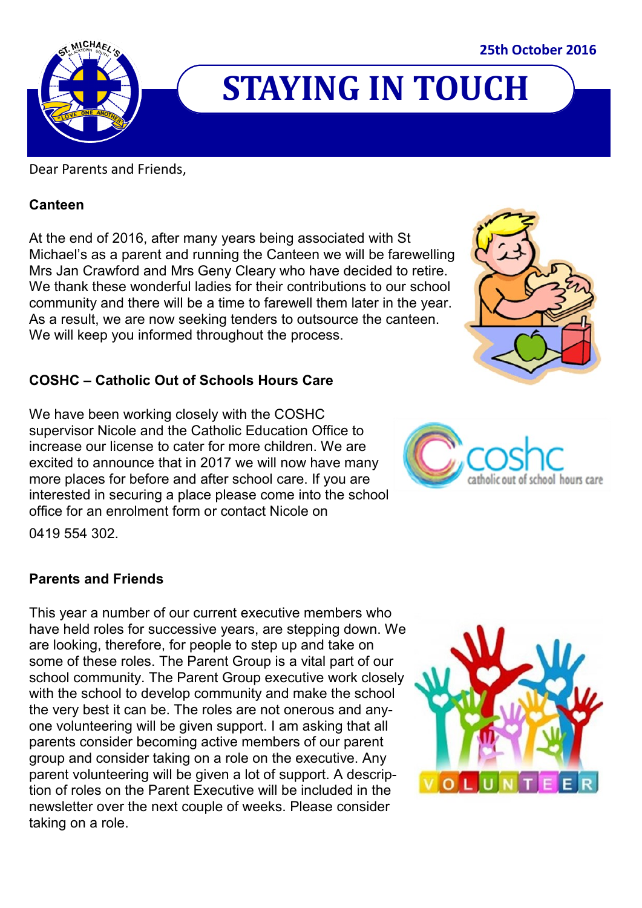

## **STAYING IN TOUCH**

#### Dear Parents and Friends,

#### **Canteen**

At the end of 2016, after many years being associated with St Michael's as a parent and running the Canteen we will be farewelling Mrs Jan Crawford and Mrs Geny Cleary who have decided to retire. We thank these wonderful ladies for their contributions to our school community and there will be a time to farewell them later in the year. As a result, we are now seeking tenders to outsource the canteen. We will keep you informed throughout the process.

#### **COSHC – Catholic Out of Schools Hours Care**

We have been working closely with the COSHC supervisor Nicole and the Catholic Education Office to increase our license to cater for more children. We are excited to announce that in 2017 we will now have many more places for before and after school care. If you are interested in securing a place please come into the school office for an enrolment form or contact Nicole on



0419 554 302.

#### **Parents and Friends**

This year a number of our current executive members who have held roles for successive years, are stepping down. We are looking, therefore, for people to step up and take on some of these roles. The Parent Group is a vital part of our school community. The Parent Group executive work closely with the school to develop community and make the school the very best it can be. The roles are not onerous and anyone volunteering will be given support. I am asking that all parents consider becoming active members of our parent group and consider taking on a role on the executive. Any parent volunteering will be given a lot of support. A description of roles on the Parent Executive will be included in the newsletter over the next couple of weeks. Please consider taking on a role.